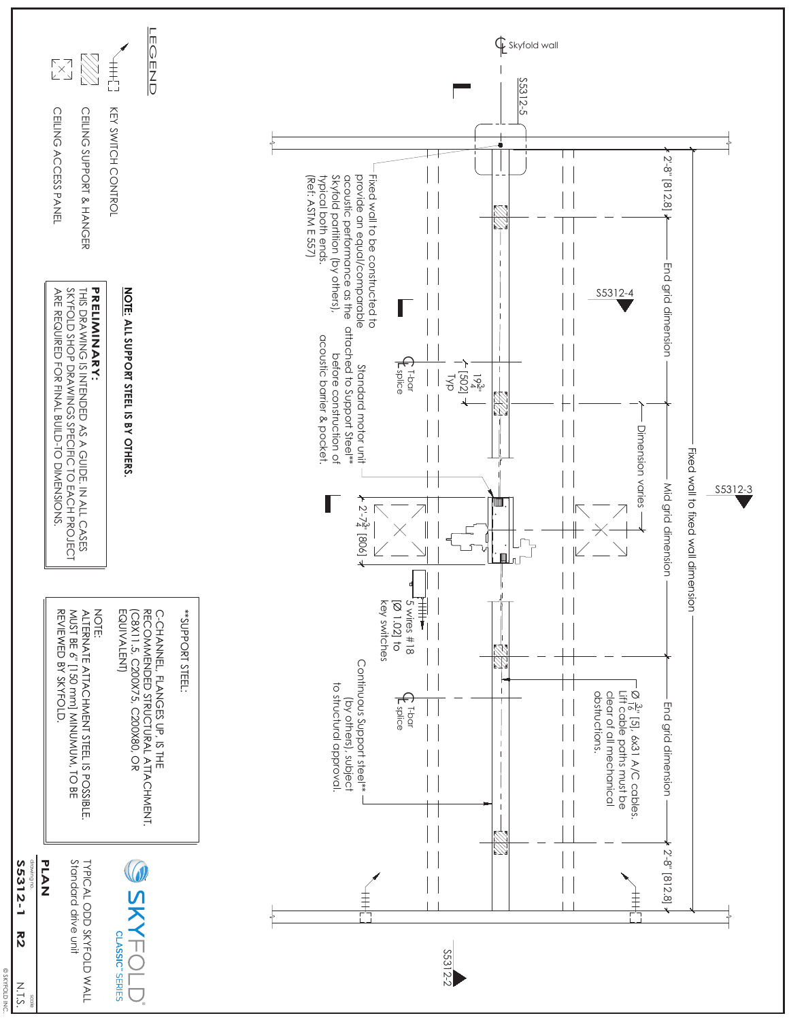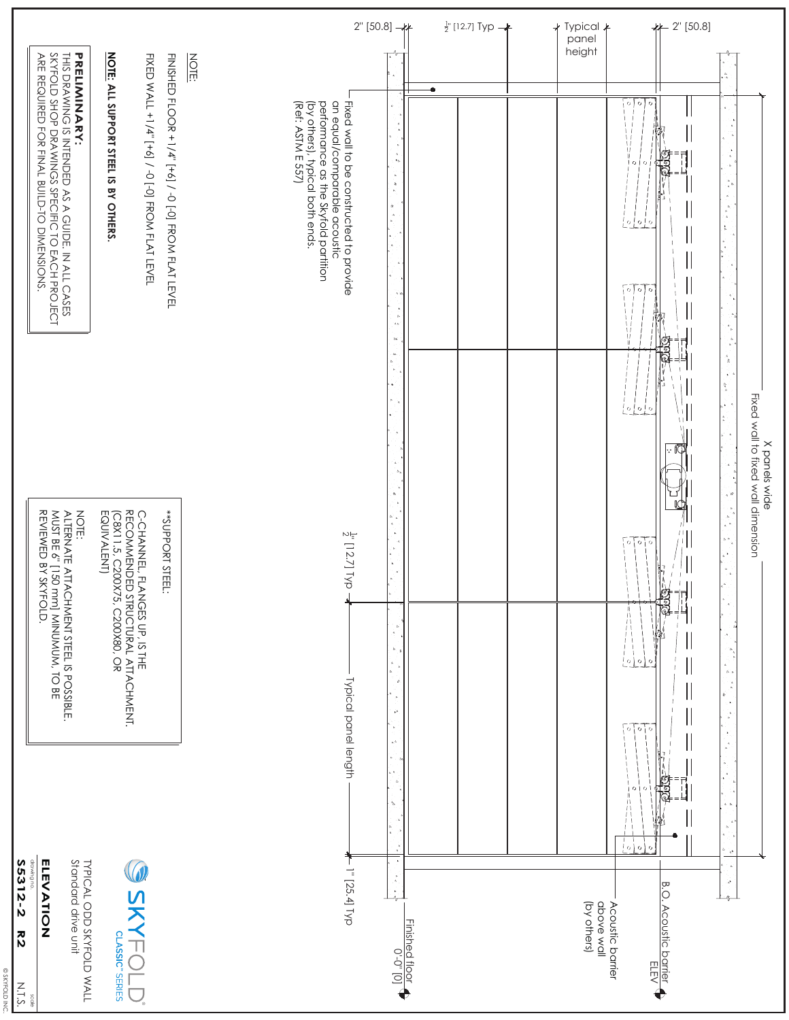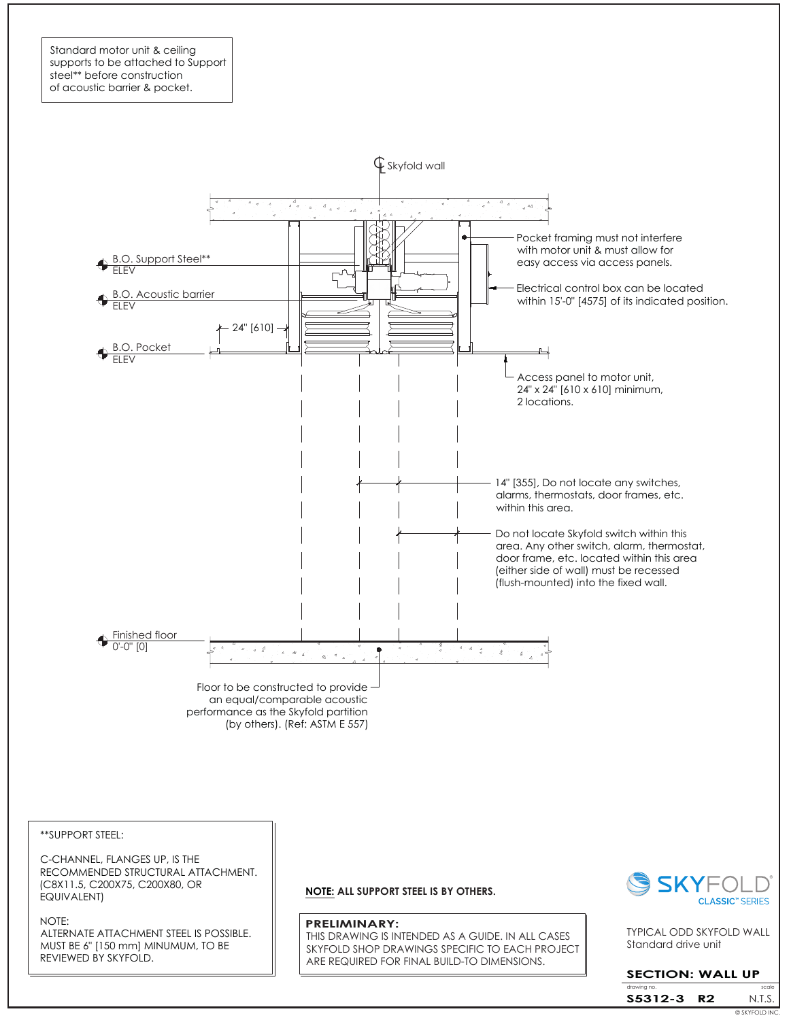Standard motor unit & ceiling supports to be attached to Support steel\*\* before construction of acoustic barrier & pocket.



\*\*SUPPORT STEEL:

C-CHANNEL, FLANGES UP, IS THE RECOMMENDED STRUCTURAL ATTACHMENT. (C8X11.5, C200X75, C200X80, OR EQUIVALENT)

NOTE:

ALTERNATE ATTACHMENT STEEL IS POSSIBLE. MUST BE 6" [150 mm] MINUMUM, TO BE REVIEWED BY SKYFOLD.

**NOTE: ALL SUPPORT STEEL IS BY OTHERS.**

#### **PRELIMINARY:**

THIS DRAWING IS INTENDED AS A GUIDE. IN ALL CASES SKYFOLD SHOP DRAWINGS SPECIFIC TO EACH PROJECT ARE REQUIRED FOR FINAL BUILD-TO DIMENSIONS.



Standard drive unit TYPICAL ODD SKYFOLD WALL

### **SECTION: WALL UP**

drawing no. Scale is a set of the scale scale in the scale scale N.T.S. © SKYFOLD INC. **S5312-3 R2**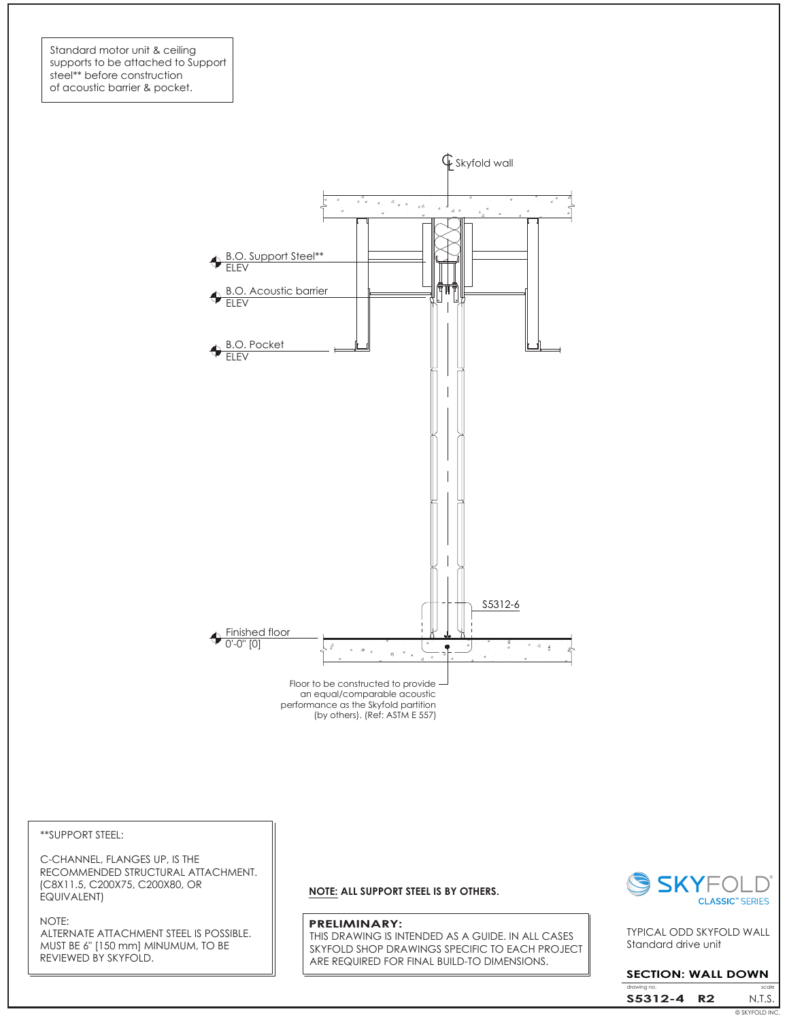



\*\*SUPPORT STEEL:

C-CHANNEL, FLANGES UP, IS THE RECOMMENDED STRUCTURAL ATTACHMENT. (C8X11.5, C200X75, C200X80, OR EQUIVALENT)

#### NOTE:

ALTERNATE ATTACHMENT STEEL IS POSSIBLE. MUST BE 6" [150 mm] MINUMUM, TO BE REVIEWED BY SKYFOLD.

### **NOTE: ALL SUPPORT STEEL IS BY OTHERS.**

#### **PRELIMINARY:**

THIS DRAWING IS INTENDED AS A GUIDE. IN ALL CASES SKYFOLD SHOP DRAWINGS SPECIFIC TO EACH PROJECT ARE REQUIRED FOR FINAL BUILD-TO DIMENSIONS.



Standard drive unit TYPICAL ODD SKYFOLD WALL

### **SECTION: WALL DOWN**

drawing no. Scale is a set of the scale scale in the scale scale N.T.S. **S5312-4 R2** © SKYFOLD INC.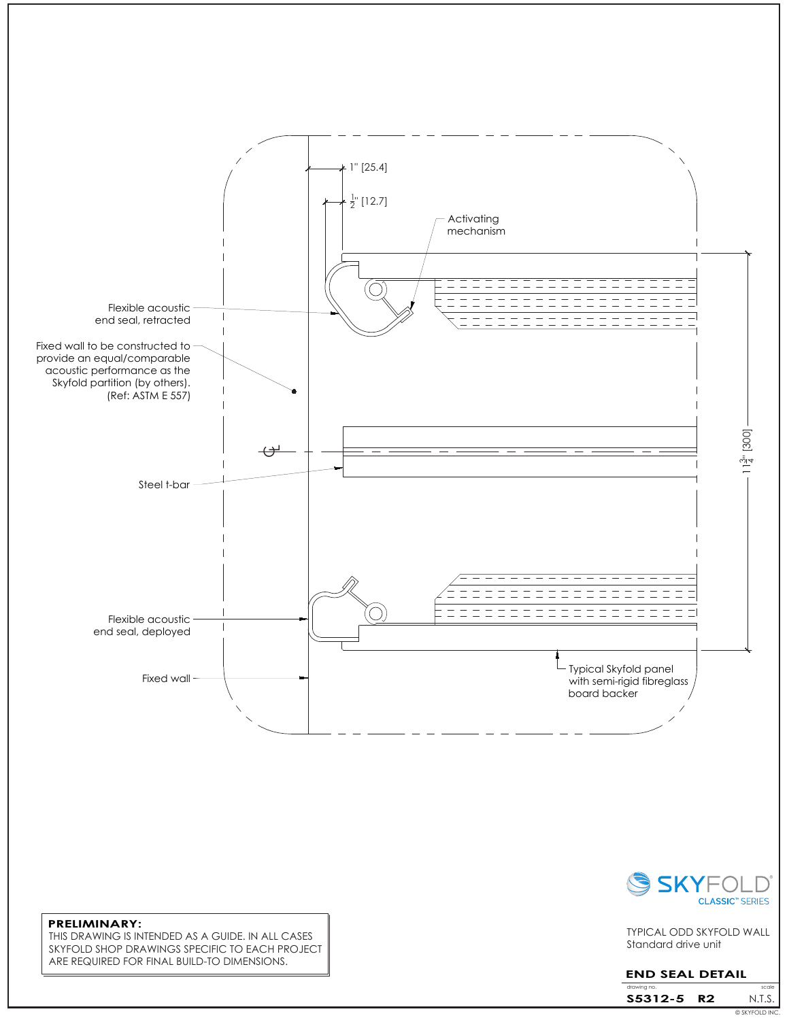



THIS DRAWING IS INTENDED AS A GUIDE. IN ALL CASES SKYFOLD SHOP DRAWINGS SPECIFIC TO EACH PROJECT ARE REQUIRED FOR FINAL BUILD-TO DIMENSIONS.



Standard drive unit TYPICAL ODD SKYFOLD WALL

## **END SEAL DETAIL**

|             |     | © SKYFOLD INC. |
|-------------|-----|----------------|
| S5312-5     | ניכ | N.LS.          |
| drawing no. |     | scale          |